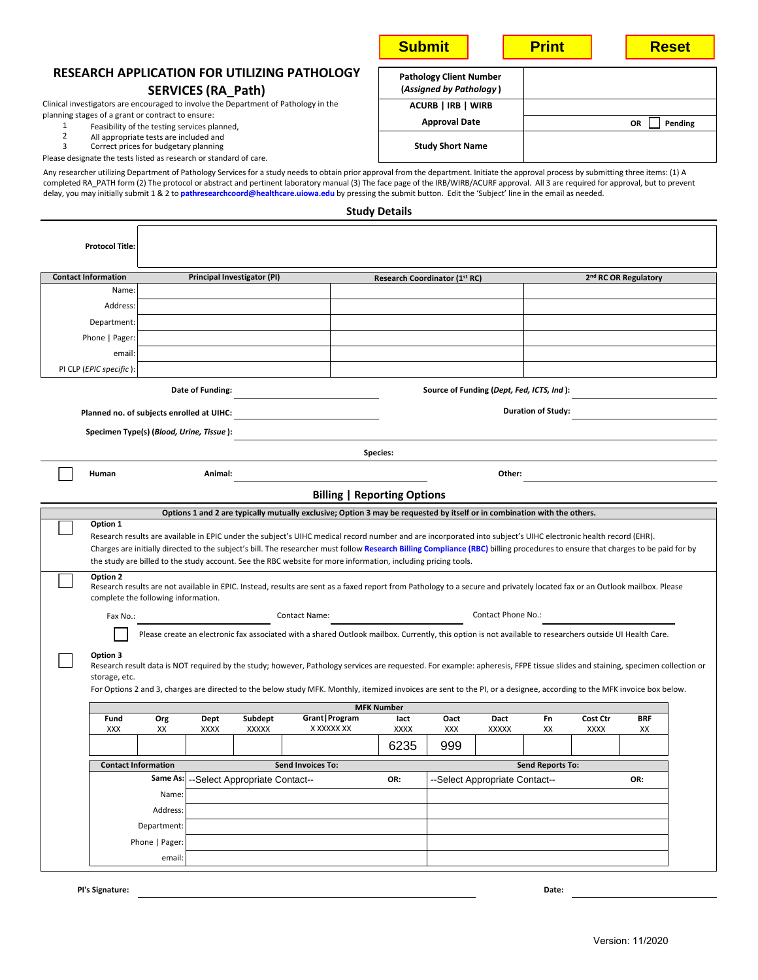| <b>RESEARCH APPLICATION FOR UTILIZING PATHOLOGY</b><br><b>Pathology Client Number</b><br>(Assigned by Pathology)<br><b>SERVICES (RA_Path)</b><br>ACURB   IRB   WIRB<br><b>Approval Date</b><br>OR<br>Pending<br>1<br>Feasibility of the testing services planned,<br>$\overline{2}$<br>All appropriate tests are included and<br><b>Study Short Name</b><br>3<br>Correct prices for budgetary planning<br>Please designate the tests listed as research or standard of care.<br><b>Study Details</b><br><b>Protocol Title:</b><br><b>Contact Information</b><br>Principal Investigator (PI)<br>2 <sup>nd</sup> RC OR Regulatory<br>Research Coordinator (1st RC)<br>Name:<br>Address:<br>Department:<br>Phone   Pager:<br>email:<br>PI CLP (EPIC specific):<br>Date of Funding:<br>Source of Funding (Dept, Fed, ICTS, Ind):<br><b>Duration of Study:</b><br>Planned no. of subjects enrolled at UIHC:<br>Specimen Type(s) (Blood, Urine, Tissue):<br>Species:<br>Animal:<br>Other:<br>Human<br><b>Billing   Reporting Options</b><br>Options 1 and 2 are typically mutually exclusive; Option 3 may be requested by itself or in combination with the others.<br>Option 1<br>Research results are available in EPIC under the subject's UIHC medical record number and are incorporated into subject's UIHC electronic health record (EHR).<br>Charges are initially directed to the subject's bill. The researcher must follow Research Billing Compliance (RBC) billing procedures to ensure that charges to be paid for by<br>the study are billed to the study account. See the RBC website for more information, including pricing tools.<br>Option 2<br>Research results are not available in EPIC. Instead, results are sent as a faxed report from Pathology to a secure and privately located fax or an Outlook mailbox. Please<br>complete the following information.<br>Contact Phone No.:<br><b>Contact Name:</b><br>Fax No.:<br>Please create an electronic fax associated with a shared Outlook mailbox. Currently, this option is not available to researchers outside UI Health Care.<br>Option 3<br>Research result data is NOT required by the study; however, Pathology services are requested. For example: apheresis, FFPE tissue slides and staining, specimen collection or<br>storage, etc.<br>For Options 2 and 3, charges are directed to the below study MFK. Monthly, itemized invoices are sent to the PI, or a designee, according to the MFK invoice box below.<br><b>MFK Number</b><br>Grant   Program<br>Fund<br>Org<br>Dept<br>Subdept<br>Oact<br>Dact<br>Cost Ctr<br><b>BRF</b><br>lact<br>Fn<br>XXXXX<br>X XXXXX XX<br><b>XXX</b><br>XX<br>XXXX<br><b>XXXX</b><br>XXX<br><b>XXXXX</b><br>XX<br>XXXX<br>XX<br>6235<br>999<br><b>Contact Information</b><br><b>Send Invoices To:</b><br><b>Send Reports To:</b><br>Same As:<br>-Select Appropriate Contact--<br>--Select Appropriate Contact--<br>OR:<br>OR:<br>Name:<br>Address:<br>Department:<br>Phone   Pager:<br>email: |                                                                                                                                                                                                                                                                                                                                                                                                                                                                                                                                                     |  |  |  |  | <b>Submit</b> |  |  | <b>Print</b> |  |  | <b>Reset</b> |  |
|-----------------------------------------------------------------------------------------------------------------------------------------------------------------------------------------------------------------------------------------------------------------------------------------------------------------------------------------------------------------------------------------------------------------------------------------------------------------------------------------------------------------------------------------------------------------------------------------------------------------------------------------------------------------------------------------------------------------------------------------------------------------------------------------------------------------------------------------------------------------------------------------------------------------------------------------------------------------------------------------------------------------------------------------------------------------------------------------------------------------------------------------------------------------------------------------------------------------------------------------------------------------------------------------------------------------------------------------------------------------------------------------------------------------------------------------------------------------------------------------------------------------------------------------------------------------------------------------------------------------------------------------------------------------------------------------------------------------------------------------------------------------------------------------------------------------------------------------------------------------------------------------------------------------------------------------------------------------------------------------------------------------------------------------------------------------------------------------------------------------------------------------------------------------------------------------------------------------------------------------------------------------------------------------------------------------------------------------------------------------------------------------------------------------------------------------------------------------------------------------------------------------------------------------------------------------------------------------------------------------------------------------------------------------------------------------------------------------------------------------------------------------------------------------------------------------------------------------------------------------------------------------------------------------------------------------------------------------------------------------------------------------|-----------------------------------------------------------------------------------------------------------------------------------------------------------------------------------------------------------------------------------------------------------------------------------------------------------------------------------------------------------------------------------------------------------------------------------------------------------------------------------------------------------------------------------------------------|--|--|--|--|---------------|--|--|--------------|--|--|--------------|--|
|                                                                                                                                                                                                                                                                                                                                                                                                                                                                                                                                                                                                                                                                                                                                                                                                                                                                                                                                                                                                                                                                                                                                                                                                                                                                                                                                                                                                                                                                                                                                                                                                                                                                                                                                                                                                                                                                                                                                                                                                                                                                                                                                                                                                                                                                                                                                                                                                                                                                                                                                                                                                                                                                                                                                                                                                                                                                                                                                                                                                                 |                                                                                                                                                                                                                                                                                                                                                                                                                                                                                                                                                     |  |  |  |  |               |  |  |              |  |  |              |  |
|                                                                                                                                                                                                                                                                                                                                                                                                                                                                                                                                                                                                                                                                                                                                                                                                                                                                                                                                                                                                                                                                                                                                                                                                                                                                                                                                                                                                                                                                                                                                                                                                                                                                                                                                                                                                                                                                                                                                                                                                                                                                                                                                                                                                                                                                                                                                                                                                                                                                                                                                                                                                                                                                                                                                                                                                                                                                                                                                                                                                                 | Clinical investigators are encouraged to involve the Department of Pathology in the                                                                                                                                                                                                                                                                                                                                                                                                                                                                 |  |  |  |  |               |  |  |              |  |  |              |  |
|                                                                                                                                                                                                                                                                                                                                                                                                                                                                                                                                                                                                                                                                                                                                                                                                                                                                                                                                                                                                                                                                                                                                                                                                                                                                                                                                                                                                                                                                                                                                                                                                                                                                                                                                                                                                                                                                                                                                                                                                                                                                                                                                                                                                                                                                                                                                                                                                                                                                                                                                                                                                                                                                                                                                                                                                                                                                                                                                                                                                                 | planning stages of a grant or contract to ensure:                                                                                                                                                                                                                                                                                                                                                                                                                                                                                                   |  |  |  |  |               |  |  |              |  |  |              |  |
|                                                                                                                                                                                                                                                                                                                                                                                                                                                                                                                                                                                                                                                                                                                                                                                                                                                                                                                                                                                                                                                                                                                                                                                                                                                                                                                                                                                                                                                                                                                                                                                                                                                                                                                                                                                                                                                                                                                                                                                                                                                                                                                                                                                                                                                                                                                                                                                                                                                                                                                                                                                                                                                                                                                                                                                                                                                                                                                                                                                                                 |                                                                                                                                                                                                                                                                                                                                                                                                                                                                                                                                                     |  |  |  |  |               |  |  |              |  |  |              |  |
|                                                                                                                                                                                                                                                                                                                                                                                                                                                                                                                                                                                                                                                                                                                                                                                                                                                                                                                                                                                                                                                                                                                                                                                                                                                                                                                                                                                                                                                                                                                                                                                                                                                                                                                                                                                                                                                                                                                                                                                                                                                                                                                                                                                                                                                                                                                                                                                                                                                                                                                                                                                                                                                                                                                                                                                                                                                                                                                                                                                                                 | Any researcher utilizing Department of Pathology Services for a study needs to obtain prior approval from the department. Initiate the approval process by submitting three items: (1) A<br>completed RA_PATH form (2) The protocol or abstract and pertinent laboratory manual (3) The face page of the IRB/WIRB/ACURF approval. All 3 are required for approval, but to prevent<br>delay, you may initially submit 1 & 2 to pathresearchcoord@healthcare.uiowa.edu by pressing the submit button. Edit the 'Subject' line in the email as needed. |  |  |  |  |               |  |  |              |  |  |              |  |
|                                                                                                                                                                                                                                                                                                                                                                                                                                                                                                                                                                                                                                                                                                                                                                                                                                                                                                                                                                                                                                                                                                                                                                                                                                                                                                                                                                                                                                                                                                                                                                                                                                                                                                                                                                                                                                                                                                                                                                                                                                                                                                                                                                                                                                                                                                                                                                                                                                                                                                                                                                                                                                                                                                                                                                                                                                                                                                                                                                                                                 |                                                                                                                                                                                                                                                                                                                                                                                                                                                                                                                                                     |  |  |  |  |               |  |  |              |  |  |              |  |
|                                                                                                                                                                                                                                                                                                                                                                                                                                                                                                                                                                                                                                                                                                                                                                                                                                                                                                                                                                                                                                                                                                                                                                                                                                                                                                                                                                                                                                                                                                                                                                                                                                                                                                                                                                                                                                                                                                                                                                                                                                                                                                                                                                                                                                                                                                                                                                                                                                                                                                                                                                                                                                                                                                                                                                                                                                                                                                                                                                                                                 |                                                                                                                                                                                                                                                                                                                                                                                                                                                                                                                                                     |  |  |  |  |               |  |  |              |  |  |              |  |
|                                                                                                                                                                                                                                                                                                                                                                                                                                                                                                                                                                                                                                                                                                                                                                                                                                                                                                                                                                                                                                                                                                                                                                                                                                                                                                                                                                                                                                                                                                                                                                                                                                                                                                                                                                                                                                                                                                                                                                                                                                                                                                                                                                                                                                                                                                                                                                                                                                                                                                                                                                                                                                                                                                                                                                                                                                                                                                                                                                                                                 |                                                                                                                                                                                                                                                                                                                                                                                                                                                                                                                                                     |  |  |  |  |               |  |  |              |  |  |              |  |
|                                                                                                                                                                                                                                                                                                                                                                                                                                                                                                                                                                                                                                                                                                                                                                                                                                                                                                                                                                                                                                                                                                                                                                                                                                                                                                                                                                                                                                                                                                                                                                                                                                                                                                                                                                                                                                                                                                                                                                                                                                                                                                                                                                                                                                                                                                                                                                                                                                                                                                                                                                                                                                                                                                                                                                                                                                                                                                                                                                                                                 |                                                                                                                                                                                                                                                                                                                                                                                                                                                                                                                                                     |  |  |  |  |               |  |  |              |  |  |              |  |
|                                                                                                                                                                                                                                                                                                                                                                                                                                                                                                                                                                                                                                                                                                                                                                                                                                                                                                                                                                                                                                                                                                                                                                                                                                                                                                                                                                                                                                                                                                                                                                                                                                                                                                                                                                                                                                                                                                                                                                                                                                                                                                                                                                                                                                                                                                                                                                                                                                                                                                                                                                                                                                                                                                                                                                                                                                                                                                                                                                                                                 |                                                                                                                                                                                                                                                                                                                                                                                                                                                                                                                                                     |  |  |  |  |               |  |  |              |  |  |              |  |
|                                                                                                                                                                                                                                                                                                                                                                                                                                                                                                                                                                                                                                                                                                                                                                                                                                                                                                                                                                                                                                                                                                                                                                                                                                                                                                                                                                                                                                                                                                                                                                                                                                                                                                                                                                                                                                                                                                                                                                                                                                                                                                                                                                                                                                                                                                                                                                                                                                                                                                                                                                                                                                                                                                                                                                                                                                                                                                                                                                                                                 |                                                                                                                                                                                                                                                                                                                                                                                                                                                                                                                                                     |  |  |  |  |               |  |  |              |  |  |              |  |
|                                                                                                                                                                                                                                                                                                                                                                                                                                                                                                                                                                                                                                                                                                                                                                                                                                                                                                                                                                                                                                                                                                                                                                                                                                                                                                                                                                                                                                                                                                                                                                                                                                                                                                                                                                                                                                                                                                                                                                                                                                                                                                                                                                                                                                                                                                                                                                                                                                                                                                                                                                                                                                                                                                                                                                                                                                                                                                                                                                                                                 |                                                                                                                                                                                                                                                                                                                                                                                                                                                                                                                                                     |  |  |  |  |               |  |  |              |  |  |              |  |
|                                                                                                                                                                                                                                                                                                                                                                                                                                                                                                                                                                                                                                                                                                                                                                                                                                                                                                                                                                                                                                                                                                                                                                                                                                                                                                                                                                                                                                                                                                                                                                                                                                                                                                                                                                                                                                                                                                                                                                                                                                                                                                                                                                                                                                                                                                                                                                                                                                                                                                                                                                                                                                                                                                                                                                                                                                                                                                                                                                                                                 |                                                                                                                                                                                                                                                                                                                                                                                                                                                                                                                                                     |  |  |  |  |               |  |  |              |  |  |              |  |
|                                                                                                                                                                                                                                                                                                                                                                                                                                                                                                                                                                                                                                                                                                                                                                                                                                                                                                                                                                                                                                                                                                                                                                                                                                                                                                                                                                                                                                                                                                                                                                                                                                                                                                                                                                                                                                                                                                                                                                                                                                                                                                                                                                                                                                                                                                                                                                                                                                                                                                                                                                                                                                                                                                                                                                                                                                                                                                                                                                                                                 |                                                                                                                                                                                                                                                                                                                                                                                                                                                                                                                                                     |  |  |  |  |               |  |  |              |  |  |              |  |
|                                                                                                                                                                                                                                                                                                                                                                                                                                                                                                                                                                                                                                                                                                                                                                                                                                                                                                                                                                                                                                                                                                                                                                                                                                                                                                                                                                                                                                                                                                                                                                                                                                                                                                                                                                                                                                                                                                                                                                                                                                                                                                                                                                                                                                                                                                                                                                                                                                                                                                                                                                                                                                                                                                                                                                                                                                                                                                                                                                                                                 |                                                                                                                                                                                                                                                                                                                                                                                                                                                                                                                                                     |  |  |  |  |               |  |  |              |  |  |              |  |
|                                                                                                                                                                                                                                                                                                                                                                                                                                                                                                                                                                                                                                                                                                                                                                                                                                                                                                                                                                                                                                                                                                                                                                                                                                                                                                                                                                                                                                                                                                                                                                                                                                                                                                                                                                                                                                                                                                                                                                                                                                                                                                                                                                                                                                                                                                                                                                                                                                                                                                                                                                                                                                                                                                                                                                                                                                                                                                                                                                                                                 |                                                                                                                                                                                                                                                                                                                                                                                                                                                                                                                                                     |  |  |  |  |               |  |  |              |  |  |              |  |
|                                                                                                                                                                                                                                                                                                                                                                                                                                                                                                                                                                                                                                                                                                                                                                                                                                                                                                                                                                                                                                                                                                                                                                                                                                                                                                                                                                                                                                                                                                                                                                                                                                                                                                                                                                                                                                                                                                                                                                                                                                                                                                                                                                                                                                                                                                                                                                                                                                                                                                                                                                                                                                                                                                                                                                                                                                                                                                                                                                                                                 |                                                                                                                                                                                                                                                                                                                                                                                                                                                                                                                                                     |  |  |  |  |               |  |  |              |  |  |              |  |
|                                                                                                                                                                                                                                                                                                                                                                                                                                                                                                                                                                                                                                                                                                                                                                                                                                                                                                                                                                                                                                                                                                                                                                                                                                                                                                                                                                                                                                                                                                                                                                                                                                                                                                                                                                                                                                                                                                                                                                                                                                                                                                                                                                                                                                                                                                                                                                                                                                                                                                                                                                                                                                                                                                                                                                                                                                                                                                                                                                                                                 |                                                                                                                                                                                                                                                                                                                                                                                                                                                                                                                                                     |  |  |  |  |               |  |  |              |  |  |              |  |
|                                                                                                                                                                                                                                                                                                                                                                                                                                                                                                                                                                                                                                                                                                                                                                                                                                                                                                                                                                                                                                                                                                                                                                                                                                                                                                                                                                                                                                                                                                                                                                                                                                                                                                                                                                                                                                                                                                                                                                                                                                                                                                                                                                                                                                                                                                                                                                                                                                                                                                                                                                                                                                                                                                                                                                                                                                                                                                                                                                                                                 |                                                                                                                                                                                                                                                                                                                                                                                                                                                                                                                                                     |  |  |  |  |               |  |  |              |  |  |              |  |
|                                                                                                                                                                                                                                                                                                                                                                                                                                                                                                                                                                                                                                                                                                                                                                                                                                                                                                                                                                                                                                                                                                                                                                                                                                                                                                                                                                                                                                                                                                                                                                                                                                                                                                                                                                                                                                                                                                                                                                                                                                                                                                                                                                                                                                                                                                                                                                                                                                                                                                                                                                                                                                                                                                                                                                                                                                                                                                                                                                                                                 |                                                                                                                                                                                                                                                                                                                                                                                                                                                                                                                                                     |  |  |  |  |               |  |  |              |  |  |              |  |
|                                                                                                                                                                                                                                                                                                                                                                                                                                                                                                                                                                                                                                                                                                                                                                                                                                                                                                                                                                                                                                                                                                                                                                                                                                                                                                                                                                                                                                                                                                                                                                                                                                                                                                                                                                                                                                                                                                                                                                                                                                                                                                                                                                                                                                                                                                                                                                                                                                                                                                                                                                                                                                                                                                                                                                                                                                                                                                                                                                                                                 |                                                                                                                                                                                                                                                                                                                                                                                                                                                                                                                                                     |  |  |  |  |               |  |  |              |  |  |              |  |
|                                                                                                                                                                                                                                                                                                                                                                                                                                                                                                                                                                                                                                                                                                                                                                                                                                                                                                                                                                                                                                                                                                                                                                                                                                                                                                                                                                                                                                                                                                                                                                                                                                                                                                                                                                                                                                                                                                                                                                                                                                                                                                                                                                                                                                                                                                                                                                                                                                                                                                                                                                                                                                                                                                                                                                                                                                                                                                                                                                                                                 |                                                                                                                                                                                                                                                                                                                                                                                                                                                                                                                                                     |  |  |  |  |               |  |  |              |  |  |              |  |
|                                                                                                                                                                                                                                                                                                                                                                                                                                                                                                                                                                                                                                                                                                                                                                                                                                                                                                                                                                                                                                                                                                                                                                                                                                                                                                                                                                                                                                                                                                                                                                                                                                                                                                                                                                                                                                                                                                                                                                                                                                                                                                                                                                                                                                                                                                                                                                                                                                                                                                                                                                                                                                                                                                                                                                                                                                                                                                                                                                                                                 |                                                                                                                                                                                                                                                                                                                                                                                                                                                                                                                                                     |  |  |  |  |               |  |  |              |  |  |              |  |
|                                                                                                                                                                                                                                                                                                                                                                                                                                                                                                                                                                                                                                                                                                                                                                                                                                                                                                                                                                                                                                                                                                                                                                                                                                                                                                                                                                                                                                                                                                                                                                                                                                                                                                                                                                                                                                                                                                                                                                                                                                                                                                                                                                                                                                                                                                                                                                                                                                                                                                                                                                                                                                                                                                                                                                                                                                                                                                                                                                                                                 |                                                                                                                                                                                                                                                                                                                                                                                                                                                                                                                                                     |  |  |  |  |               |  |  |              |  |  |              |  |
|                                                                                                                                                                                                                                                                                                                                                                                                                                                                                                                                                                                                                                                                                                                                                                                                                                                                                                                                                                                                                                                                                                                                                                                                                                                                                                                                                                                                                                                                                                                                                                                                                                                                                                                                                                                                                                                                                                                                                                                                                                                                                                                                                                                                                                                                                                                                                                                                                                                                                                                                                                                                                                                                                                                                                                                                                                                                                                                                                                                                                 |                                                                                                                                                                                                                                                                                                                                                                                                                                                                                                                                                     |  |  |  |  |               |  |  |              |  |  |              |  |
|                                                                                                                                                                                                                                                                                                                                                                                                                                                                                                                                                                                                                                                                                                                                                                                                                                                                                                                                                                                                                                                                                                                                                                                                                                                                                                                                                                                                                                                                                                                                                                                                                                                                                                                                                                                                                                                                                                                                                                                                                                                                                                                                                                                                                                                                                                                                                                                                                                                                                                                                                                                                                                                                                                                                                                                                                                                                                                                                                                                                                 |                                                                                                                                                                                                                                                                                                                                                                                                                                                                                                                                                     |  |  |  |  |               |  |  |              |  |  |              |  |
|                                                                                                                                                                                                                                                                                                                                                                                                                                                                                                                                                                                                                                                                                                                                                                                                                                                                                                                                                                                                                                                                                                                                                                                                                                                                                                                                                                                                                                                                                                                                                                                                                                                                                                                                                                                                                                                                                                                                                                                                                                                                                                                                                                                                                                                                                                                                                                                                                                                                                                                                                                                                                                                                                                                                                                                                                                                                                                                                                                                                                 |                                                                                                                                                                                                                                                                                                                                                                                                                                                                                                                                                     |  |  |  |  |               |  |  |              |  |  |              |  |
|                                                                                                                                                                                                                                                                                                                                                                                                                                                                                                                                                                                                                                                                                                                                                                                                                                                                                                                                                                                                                                                                                                                                                                                                                                                                                                                                                                                                                                                                                                                                                                                                                                                                                                                                                                                                                                                                                                                                                                                                                                                                                                                                                                                                                                                                                                                                                                                                                                                                                                                                                                                                                                                                                                                                                                                                                                                                                                                                                                                                                 |                                                                                                                                                                                                                                                                                                                                                                                                                                                                                                                                                     |  |  |  |  |               |  |  |              |  |  |              |  |
|                                                                                                                                                                                                                                                                                                                                                                                                                                                                                                                                                                                                                                                                                                                                                                                                                                                                                                                                                                                                                                                                                                                                                                                                                                                                                                                                                                                                                                                                                                                                                                                                                                                                                                                                                                                                                                                                                                                                                                                                                                                                                                                                                                                                                                                                                                                                                                                                                                                                                                                                                                                                                                                                                                                                                                                                                                                                                                                                                                                                                 |                                                                                                                                                                                                                                                                                                                                                                                                                                                                                                                                                     |  |  |  |  |               |  |  |              |  |  |              |  |
|                                                                                                                                                                                                                                                                                                                                                                                                                                                                                                                                                                                                                                                                                                                                                                                                                                                                                                                                                                                                                                                                                                                                                                                                                                                                                                                                                                                                                                                                                                                                                                                                                                                                                                                                                                                                                                                                                                                                                                                                                                                                                                                                                                                                                                                                                                                                                                                                                                                                                                                                                                                                                                                                                                                                                                                                                                                                                                                                                                                                                 |                                                                                                                                                                                                                                                                                                                                                                                                                                                                                                                                                     |  |  |  |  |               |  |  |              |  |  |              |  |
|                                                                                                                                                                                                                                                                                                                                                                                                                                                                                                                                                                                                                                                                                                                                                                                                                                                                                                                                                                                                                                                                                                                                                                                                                                                                                                                                                                                                                                                                                                                                                                                                                                                                                                                                                                                                                                                                                                                                                                                                                                                                                                                                                                                                                                                                                                                                                                                                                                                                                                                                                                                                                                                                                                                                                                                                                                                                                                                                                                                                                 |                                                                                                                                                                                                                                                                                                                                                                                                                                                                                                                                                     |  |  |  |  |               |  |  |              |  |  |              |  |
|                                                                                                                                                                                                                                                                                                                                                                                                                                                                                                                                                                                                                                                                                                                                                                                                                                                                                                                                                                                                                                                                                                                                                                                                                                                                                                                                                                                                                                                                                                                                                                                                                                                                                                                                                                                                                                                                                                                                                                                                                                                                                                                                                                                                                                                                                                                                                                                                                                                                                                                                                                                                                                                                                                                                                                                                                                                                                                                                                                                                                 |                                                                                                                                                                                                                                                                                                                                                                                                                                                                                                                                                     |  |  |  |  |               |  |  |              |  |  |              |  |
|                                                                                                                                                                                                                                                                                                                                                                                                                                                                                                                                                                                                                                                                                                                                                                                                                                                                                                                                                                                                                                                                                                                                                                                                                                                                                                                                                                                                                                                                                                                                                                                                                                                                                                                                                                                                                                                                                                                                                                                                                                                                                                                                                                                                                                                                                                                                                                                                                                                                                                                                                                                                                                                                                                                                                                                                                                                                                                                                                                                                                 |                                                                                                                                                                                                                                                                                                                                                                                                                                                                                                                                                     |  |  |  |  |               |  |  |              |  |  |              |  |
|                                                                                                                                                                                                                                                                                                                                                                                                                                                                                                                                                                                                                                                                                                                                                                                                                                                                                                                                                                                                                                                                                                                                                                                                                                                                                                                                                                                                                                                                                                                                                                                                                                                                                                                                                                                                                                                                                                                                                                                                                                                                                                                                                                                                                                                                                                                                                                                                                                                                                                                                                                                                                                                                                                                                                                                                                                                                                                                                                                                                                 |                                                                                                                                                                                                                                                                                                                                                                                                                                                                                                                                                     |  |  |  |  |               |  |  |              |  |  |              |  |
|                                                                                                                                                                                                                                                                                                                                                                                                                                                                                                                                                                                                                                                                                                                                                                                                                                                                                                                                                                                                                                                                                                                                                                                                                                                                                                                                                                                                                                                                                                                                                                                                                                                                                                                                                                                                                                                                                                                                                                                                                                                                                                                                                                                                                                                                                                                                                                                                                                                                                                                                                                                                                                                                                                                                                                                                                                                                                                                                                                                                                 |                                                                                                                                                                                                                                                                                                                                                                                                                                                                                                                                                     |  |  |  |  |               |  |  |              |  |  |              |  |

**PI's Signature: Date:**

r